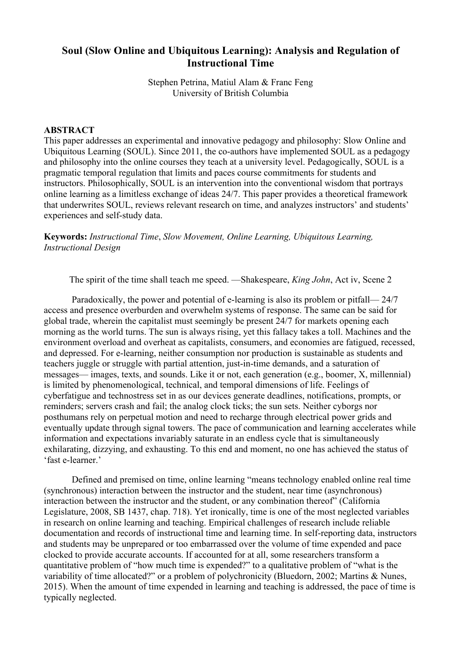# **Soul (Slow Online and Ubiquitous Learning): Analysis and Regulation of Instructional Time**

Stephen Petrina, Matiul Alam & Franc Feng University of British Columbia

### **ABSTRACT**

This paper addresses an experimental and innovative pedagogy and philosophy: Slow Online and Ubiquitous Learning (SOUL). Since 2011, the co-authors have implemented SOUL as a pedagogy and philosophy into the online courses they teach at a university level. Pedagogically, SOUL is a pragmatic temporal regulation that limits and paces course commitments for students and instructors. Philosophically, SOUL is an intervention into the conventional wisdom that portrays online learning as a limitless exchange of ideas 24/7. This paper provides a theoretical framework that underwrites SOUL, reviews relevant research on time, and analyzes instructors' and students' experiences and self-study data.

**Keywords:** *Instructional Time*, *Slow Movement, Online Learning, Ubiquitous Learning, Instructional Design*

The spirit of the time shall teach me speed. —Shakespeare, *King John*, Act iv, Scene 2

Paradoxically, the power and potential of e-learning is also its problem or pitfall— 24/7 access and presence overburden and overwhelm systems of response. The same can be said for global trade, wherein the capitalist must seemingly be present 24/7 for markets opening each morning as the world turns. The sun is always rising, yet this fallacy takes a toll. Machines and the environment overload and overheat as capitalists, consumers, and economies are fatigued, recessed, and depressed. For e-learning, neither consumption nor production is sustainable as students and teachers juggle or struggle with partial attention, just-in-time demands, and a saturation of messages— images, texts, and sounds. Like it or not, each generation (e.g., boomer, X, millennial) is limited by phenomenological, technical, and temporal dimensions of life. Feelings of cyberfatigue and technostress set in as our devices generate deadlines, notifications, prompts, or reminders; servers crash and fail; the analog clock ticks; the sun sets. Neither cyborgs nor posthumans rely on perpetual motion and need to recharge through electrical power grids and eventually update through signal towers. The pace of communication and learning accelerates while information and expectations invariably saturate in an endless cycle that is simultaneously exhilarating, dizzying, and exhausting. To this end and moment, no one has achieved the status of 'fast e-learner.'

Defined and premised on time, online learning "means technology enabled online real time (synchronous) interaction between the instructor and the student, near time (asynchronous) interaction between the instructor and the student, or any combination thereof" (California Legislature, 2008, SB 1437, chap. 718). Yet ironically, time is one of the most neglected variables in research on online learning and teaching. Empirical challenges of research include reliable documentation and records of instructional time and learning time. In self-reporting data, instructors and students may be unprepared or too embarrassed over the volume of time expended and pace clocked to provide accurate accounts. If accounted for at all, some researchers transform a quantitative problem of "how much time is expended?" to a qualitative problem of "what is the variability of time allocated?" or a problem of polychronicity (Bluedorn, 2002; Martins & Nunes, 2015). When the amount of time expended in learning and teaching is addressed, the pace of time is typically neglected.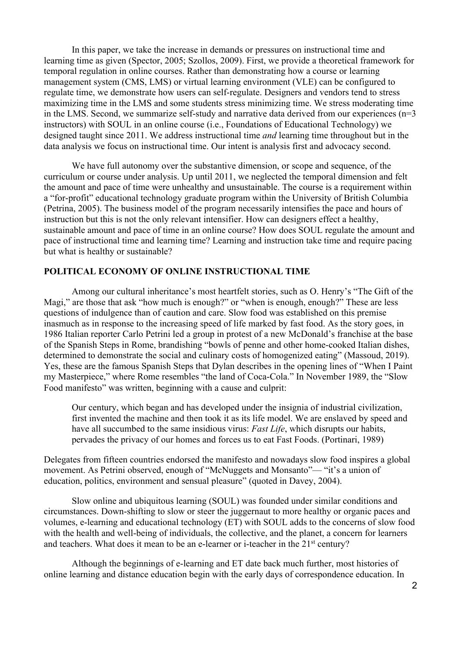In this paper, we take the increase in demands or pressures on instructional time and learning time as given (Spector, 2005; Szollos, 2009). First, we provide a theoretical framework for temporal regulation in online courses. Rather than demonstrating how a course or learning management system (CMS, LMS) or virtual learning environment (VLE) can be configured to regulate time, we demonstrate how users can self-regulate. Designers and vendors tend to stress maximizing time in the LMS and some students stress minimizing time. We stress moderating time in the LMS. Second, we summarize self-study and narrative data derived from our experiences  $(n=3)$ instructors) with SOUL in an online course (i.e., Foundations of Educational Technology) we designed taught since 2011. We address instructional time *and* learning time throughout but in the data analysis we focus on instructional time. Our intent is analysis first and advocacy second.

We have full autonomy over the substantive dimension, or scope and sequence, of the curriculum or course under analysis. Up until 2011, we neglected the temporal dimension and felt the amount and pace of time were unhealthy and unsustainable. The course is a requirement within a "for-profit" educational technology graduate program within the University of British Columbia (Petrina, 2005). The business model of the program necessarily intensifies the pace and hours of instruction but this is not the only relevant intensifier. How can designers effect a healthy, sustainable amount and pace of time in an online course? How does SOUL regulate the amount and pace of instructional time and learning time? Learning and instruction take time and require pacing but what is healthy or sustainable?

### **POLITICAL ECONOMY OF ONLINE INSTRUCTIONAL TIME**

Among our cultural inheritance's most heartfelt stories, such as O. Henry's "The Gift of the Magi," are those that ask "how much is enough?" or "when is enough, enough?" These are less questions of indulgence than of caution and care. Slow food was established on this premise inasmuch as in response to the increasing speed of life marked by fast food. As the story goes, in 1986 Italian reporter Carlo Petrini led a group in protest of a new McDonald's franchise at the base of the Spanish Steps in Rome, brandishing "bowls of penne and other home-cooked Italian dishes, determined to demonstrate the social and culinary costs of homogenized eating" (Massoud, 2019). Yes, these are the famous Spanish Steps that Dylan describes in the opening lines of "When I Paint my Masterpiece," where Rome resembles "the land of Coca-Cola." In November 1989, the "Slow Food manifesto" was written, beginning with a cause and culprit:

Our century, which began and has developed under the insignia of industrial civilization, first invented the machine and then took it as its life model. We are enslaved by speed and have all succumbed to the same insidious virus: *Fast Life*, which disrupts our habits, pervades the privacy of our homes and forces us to eat Fast Foods. (Portinari, 1989)

Delegates from fifteen countries endorsed the manifesto and nowadays slow food inspires a global movement. As Petrini observed, enough of "McNuggets and Monsanto"— "it's a union of education, politics, environment and sensual pleasure" (quoted in Davey, 2004).

Slow online and ubiquitous learning (SOUL) was founded under similar conditions and circumstances. Down-shifting to slow or steer the juggernaut to more healthy or organic paces and volumes, e-learning and educational technology (ET) with SOUL adds to the concerns of slow food with the health and well-being of individuals, the collective, and the planet, a concern for learners and teachers. What does it mean to be an e-learner or i-teacher in the 21<sup>st</sup> century?

Although the beginnings of e-learning and ET date back much further, most histories of online learning and distance education begin with the early days of correspondence education. In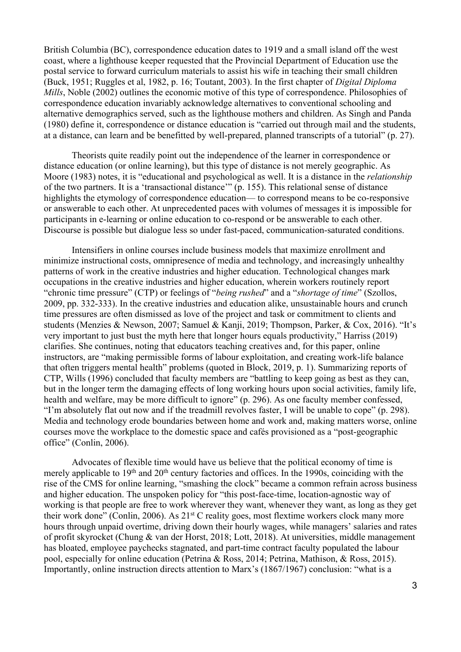British Columbia (BC), correspondence education dates to 1919 and a small island off the west coast, where a lighthouse keeper requested that the Provincial Department of Education use the postal service to forward curriculum materials to assist his wife in teaching their small children (Buck, 1951; Ruggles et al, 1982, p. 16; Toutant, 2003). In the first chapter of *Digital Diploma Mills*, Noble (2002) outlines the economic motive of this type of correspondence. Philosophies of correspondence education invariably acknowledge alternatives to conventional schooling and alternative demographics served, such as the lighthouse mothers and children. As Singh and Panda (1980) define it, correspondence or distance education is "carried out through mail and the students, at a distance, can learn and be benefitted by well-prepared, planned transcripts of a tutorial" (p. 27).

Theorists quite readily point out the independence of the learner in correspondence or distance education (or online learning), but this type of distance is not merely geographic. As Moore (1983) notes, it is "educational and psychological as well. It is a distance in the *relationship* of the two partners. It is a 'transactional distance'" (p. 155). This relational sense of distance highlights the etymology of correspondence education— to correspond means to be co-responsive or answerable to each other. At unprecedented paces with volumes of messages it is impossible for participants in e-learning or online education to co-respond or be answerable to each other. Discourse is possible but dialogue less so under fast-paced, communication-saturated conditions.

Intensifiers in online courses include business models that maximize enrollment and minimize instructional costs, omnipresence of media and technology, and increasingly unhealthy patterns of work in the creative industries and higher education. Technological changes mark occupations in the creative industries and higher education, wherein workers routinely report "chronic time pressure" (CTP) or feelings of "*being rushed*" and a "*shortage of time*" (Szollos, 2009, pp. 332-333). In the creative industries and education alike, unsustainable hours and crunch time pressures are often dismissed as love of the project and task or commitment to clients and students (Menzies & Newson, 2007; Samuel & Kanji, 2019; Thompson, Parker, & Cox, 2016). "It's very important to just bust the myth here that longer hours equals productivity," Harriss (2019) clarifies. She continues, noting that educators teaching creatives and, for this paper, online instructors, are "making permissible forms of labour exploitation, and creating work-life balance that often triggers mental health" problems (quoted in Block, 2019, p. 1). Summarizing reports of CTP, Wills (1996) concluded that faculty members are "battling to keep going as best as they can, but in the longer term the damaging effects of long working hours upon social activities, family life, health and welfare, may be more difficult to ignore" (p. 296). As one faculty member confessed, "I'm absolutely flat out now and if the treadmill revolves faster, I will be unable to cope" (p. 298). Media and technology erode boundaries between home and work and, making matters worse, online courses move the workplace to the domestic space and cafés provisioned as a "post-geographic office" (Conlin, 2006).

Advocates of flexible time would have us believe that the political economy of time is merely applicable to  $19<sup>th</sup>$  and  $20<sup>th</sup>$  century factories and offices. In the 1990s, coinciding with the rise of the CMS for online learning, "smashing the clock" became a common refrain across business and higher education. The unspoken policy for "this post-face-time, location-agnostic way of working is that people are free to work wherever they want, whenever they want, as long as they get their work done" (Conlin, 2006). As 21st C reality goes, most flextime workers clock many more hours through unpaid overtime, driving down their hourly wages, while managers' salaries and rates of profit skyrocket (Chung & van der Horst, 2018; Lott, 2018). At universities, middle management has bloated, employee paychecks stagnated, and part-time contract faculty populated the labour pool, especially for online education (Petrina & Ross, 2014; Petrina, Mathison, & Ross, 2015). Importantly, online instruction directs attention to Marx's (1867/1967) conclusion: "what is a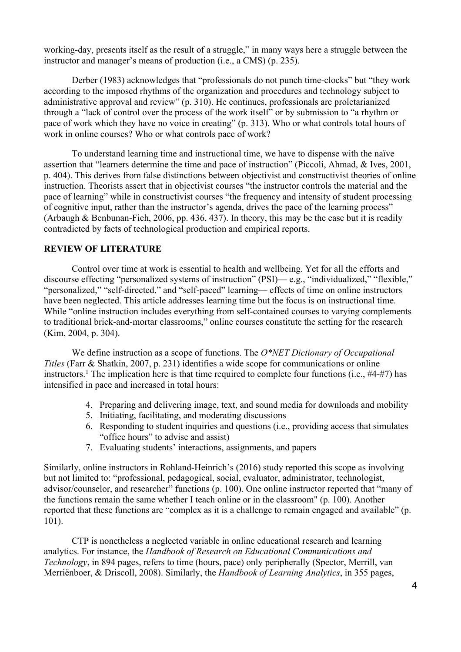working-day, presents itself as the result of a struggle," in many ways here a struggle between the instructor and manager's means of production (i.e., a CMS) (p. 235).

Derber (1983) acknowledges that "professionals do not punch time-clocks" but "they work according to the imposed rhythms of the organization and procedures and technology subject to administrative approval and review" (p. 310). He continues, professionals are proletarianized through a "lack of control over the process of the work itself" or by submission to "a rhythm or pace of work which they have no voice in creating" (p. 313). Who or what controls total hours of work in online courses? Who or what controls pace of work?

To understand learning time and instructional time, we have to dispense with the naïve assertion that "learners determine the time and pace of instruction" (Piccoli, Ahmad, & Ives, 2001, p. 404). This derives from false distinctions between objectivist and constructivist theories of online instruction. Theorists assert that in objectivist courses "the instructor controls the material and the pace of learning" while in constructivist courses "the frequency and intensity of student processing of cognitive input, rather than the instructor's agenda, drives the pace of the learning process" (Arbaugh & Benbunan-Fich, 2006, pp. 436, 437). In theory, this may be the case but it is readily contradicted by facts of technological production and empirical reports.

## **REVIEW OF LITERATURE**

Control over time at work is essential to health and wellbeing. Yet for all the efforts and discourse effecting "personalized systems of instruction" (PSI)— e.g., "individualized," "flexible," "personalized," "self-directed," and "self-paced" learning— effects of time on online instructors have been neglected. This article addresses learning time but the focus is on instructional time. While "online instruction includes everything from self-contained courses to varying complements to traditional brick-and-mortar classrooms," online courses constitute the setting for the research (Kim, 2004, p. 304).

We define instruction as a scope of functions. The *O\*NET Dictionary of Occupational Titles* (Farr & Shatkin, 2007, p. 231) identifies a wide scope for communications or online instructors.<sup>1</sup> The implication here is that time required to complete four functions (i.e.,  $\#4-\#7$ ) has intensified in pace and increased in total hours:

- 4. Preparing and delivering image, text, and sound media for downloads and mobility
- 5. Initiating, facilitating, and moderating discussions
- 6. Responding to student inquiries and questions (i.e., providing access that simulates "office hours" to advise and assist)
- 7. Evaluating students' interactions, assignments, and papers

Similarly, online instructors in Rohland-Heinrich's (2016) study reported this scope as involving but not limited to: "professional, pedagogical, social, evaluator, administrator, technologist, advisor/counselor, and researcher" functions (p. 100). One online instructor reported that "many of the functions remain the same whether I teach online or in the classroom" (p. 100). Another reported that these functions are "complex as it is a challenge to remain engaged and available" (p. 101).

CTP is nonetheless a neglected variable in online educational research and learning analytics. For instance, the *Handbook of Research on Educational Communications and Technology*, in 894 pages, refers to time (hours, pace) only peripherally (Spector, Merrill, van Merriënboer, & Driscoll, 2008). Similarly, the *Handbook of Learning Analytics*, in 355 pages,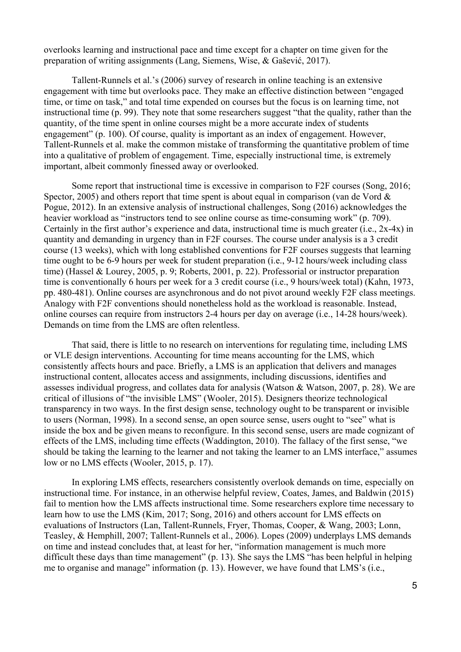overlooks learning and instructional pace and time except for a chapter on time given for the preparation of writing assignments (Lang, Siemens, Wise, & Gašević, 2017).

Tallent-Runnels et al.'s (2006) survey of research in online teaching is an extensive engagement with time but overlooks pace. They make an effective distinction between "engaged time, or time on task," and total time expended on courses but the focus is on learning time, not instructional time (p. 99). They note that some researchers suggest "that the quality, rather than the quantity, of the time spent in online courses might be a more accurate index of students engagement" (p. 100). Of course, quality is important as an index of engagement. However, Tallent-Runnels et al. make the common mistake of transforming the quantitative problem of time into a qualitative of problem of engagement. Time, especially instructional time, is extremely important, albeit commonly finessed away or overlooked.

Some report that instructional time is excessive in comparison to F2F courses (Song, 2016; Spector, 2005) and others report that time spent is about equal in comparison (van de Vord  $\&$ Pogue, 2012). In an extensive analysis of instructional challenges, Song (2016) acknowledges the heavier workload as "instructors tend to see online course as time-consuming work" (p. 709). Certainly in the first author's experience and data, instructional time is much greater (i.e., 2x-4x) in quantity and demanding in urgency than in F2F courses. The course under analysis is a 3 credit course (13 weeks), which with long established conventions for F2F courses suggests that learning time ought to be 6-9 hours per week for student preparation (i.e., 9-12 hours/week including class time) (Hassel & Lourey, 2005, p. 9; Roberts, 2001, p. 22). Professorial or instructor preparation time is conventionally 6 hours per week for a 3 credit course (i.e., 9 hours/week total) (Kahn, 1973, pp. 480-481). Online courses are asynchronous and do not pivot around weekly F2F class meetings. Analogy with F2F conventions should nonetheless hold as the workload is reasonable. Instead, online courses can require from instructors 2-4 hours per day on average (i.e., 14-28 hours/week). Demands on time from the LMS are often relentless.

That said, there is little to no research on interventions for regulating time, including LMS or VLE design interventions. Accounting for time means accounting for the LMS, which consistently affects hours and pace. Briefly, a LMS is an application that delivers and manages instructional content, allocates access and assignments, including discussions, identifies and assesses individual progress, and collates data for analysis (Watson & Watson, 2007, p. 28). We are critical of illusions of "the invisible LMS" (Wooler, 2015). Designers theorize technological transparency in two ways. In the first design sense, technology ought to be transparent or invisible to users (Norman, 1998). In a second sense, an open source sense, users ought to "see" what is inside the box and be given means to reconfigure. In this second sense, users are made cognizant of effects of the LMS, including time effects (Waddington, 2010). The fallacy of the first sense, "we should be taking the learning to the learner and not taking the learner to an LMS interface," assumes low or no LMS effects (Wooler, 2015, p. 17).

In exploring LMS effects, researchers consistently overlook demands on time, especially on instructional time. For instance, in an otherwise helpful review, Coates, James, and Baldwin (2015) fail to mention how the LMS affects instructional time. Some researchers explore time necessary to learn how to use the LMS (Kim, 2017; Song, 2016) and others account for LMS effects on evaluations of Instructors (Lan, Tallent-Runnels, Fryer, Thomas, Cooper, & Wang, 2003; Lonn, Teasley, & Hemphill, 2007; Tallent-Runnels et al., 2006). Lopes (2009) underplays LMS demands on time and instead concludes that, at least for her, "information management is much more difficult these days than time management" (p. 13). She says the LMS "has been helpful in helping me to organise and manage" information (p. 13). However, we have found that LMS's (i.e.,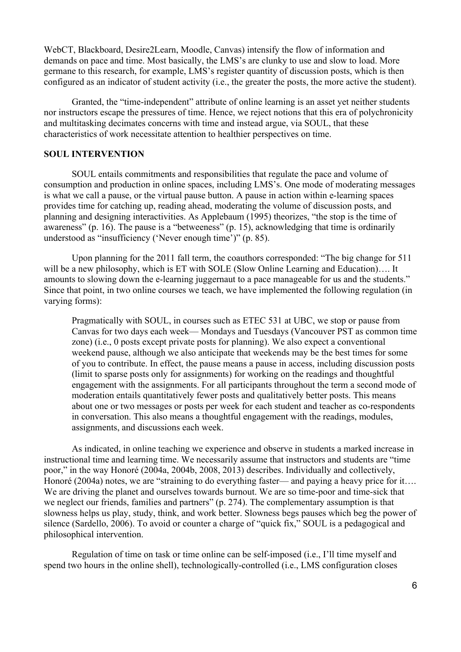WebCT, Blackboard, Desire2Learn, Moodle, Canvas) intensify the flow of information and demands on pace and time. Most basically, the LMS's are clunky to use and slow to load. More germane to this research, for example, LMS's register quantity of discussion posts, which is then configured as an indicator of student activity (i.e., the greater the posts, the more active the student).

Granted, the "time-independent" attribute of online learning is an asset yet neither students nor instructors escape the pressures of time. Hence, we reject notions that this era of polychronicity and multitasking decimates concerns with time and instead argue, via SOUL, that these characteristics of work necessitate attention to healthier perspectives on time.

## **SOUL INTERVENTION**

SOUL entails commitments and responsibilities that regulate the pace and volume of consumption and production in online spaces, including LMS's. One mode of moderating messages is what we call a pause, or the virtual pause button. A pause in action within e-learning spaces provides time for catching up, reading ahead, moderating the volume of discussion posts, and planning and designing interactivities. As Applebaum (1995) theorizes, "the stop is the time of awareness" (p. 16). The pause is a "betweeness" (p. 15), acknowledging that time is ordinarily understood as "insufficiency ('Never enough time')" (p. 85).

Upon planning for the 2011 fall term, the coauthors corresponded: "The big change for 511 will be a new philosophy, which is ET with SOLE (Slow Online Learning and Education).... It amounts to slowing down the e-learning juggernaut to a pace manageable for us and the students." Since that point, in two online courses we teach, we have implemented the following regulation (in varying forms):

Pragmatically with SOUL, in courses such as ETEC 531 at UBC, we stop or pause from Canvas for two days each week— Mondays and Tuesdays (Vancouver PST as common time zone) (i.e., 0 posts except private posts for planning). We also expect a conventional weekend pause, although we also anticipate that weekends may be the best times for some of you to contribute. In effect, the pause means a pause in access, including discussion posts (limit to sparse posts only for assignments) for working on the readings and thoughtful engagement with the assignments. For all participants throughout the term a second mode of moderation entails quantitatively fewer posts and qualitatively better posts. This means about one or two messages or posts per week for each student and teacher as co-respondents in conversation. This also means a thoughtful engagement with the readings, modules, assignments, and discussions each week.

As indicated, in online teaching we experience and observe in students a marked increase in instructional time and learning time. We necessarily assume that instructors and students are "time poor," in the way Honoré (2004a, 2004b, 2008, 2013) describes. Individually and collectively, Honoré (2004a) notes, we are "straining to do everything faster— and paying a heavy price for it…. We are driving the planet and ourselves towards burnout. We are so time-poor and time-sick that we neglect our friends, families and partners" (p. 274). The complementary assumption is that slowness helps us play, study, think, and work better. Slowness begs pauses which beg the power of silence (Sardello, 2006). To avoid or counter a charge of "quick fix," SOUL is a pedagogical and philosophical intervention.

Regulation of time on task or time online can be self-imposed (i.e., I'll time myself and spend two hours in the online shell), technologically-controlled (i.e., LMS configuration closes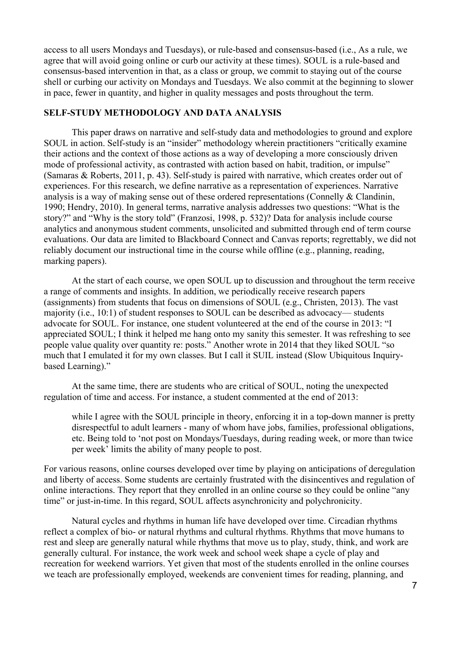access to all users Mondays and Tuesdays), or rule-based and consensus-based (i.e., As a rule, we agree that will avoid going online or curb our activity at these times). SOUL is a rule-based and consensus-based intervention in that, as a class or group, we commit to staying out of the course shell or curbing our activity on Mondays and Tuesdays. We also commit at the beginning to slower in pace, fewer in quantity, and higher in quality messages and posts throughout the term.

# **SELF-STUDY METHODOLOGY AND DATA ANALYSIS**

This paper draws on narrative and self-study data and methodologies to ground and explore SOUL in action. Self-study is an "insider" methodology wherein practitioners "critically examine their actions and the context of those actions as a way of developing a more consciously driven mode of professional activity, as contrasted with action based on habit, tradition, or impulse" (Samaras & Roberts, 2011, p. 43). Self-study is paired with narrative, which creates order out of experiences. For this research, we define narrative as a representation of experiences. Narrative analysis is a way of making sense out of these ordered representations (Connelly & Clandinin, 1990; Hendry, 2010). In general terms, narrative analysis addresses two questions: "What is the story?" and "Why is the story told" (Franzosi, 1998, p. 532)? Data for analysis include course analytics and anonymous student comments, unsolicited and submitted through end of term course evaluations. Our data are limited to Blackboard Connect and Canvas reports; regrettably, we did not reliably document our instructional time in the course while offline (e.g., planning, reading, marking papers).

At the start of each course, we open SOUL up to discussion and throughout the term receive a range of comments and insights. In addition, we periodically receive research papers (assignments) from students that focus on dimensions of SOUL (e.g., Christen, 2013). The vast majority (i.e., 10:1) of student responses to SOUL can be described as advocacy— students advocate for SOUL. For instance, one student volunteered at the end of the course in 2013: "I appreciated SOUL; I think it helped me hang onto my sanity this semester. It was refreshing to see people value quality over quantity re: posts." Another wrote in 2014 that they liked SOUL "so much that I emulated it for my own classes. But I call it SUIL instead (Slow Ubiquitous Inquirybased Learning)."

At the same time, there are students who are critical of SOUL, noting the unexpected regulation of time and access. For instance, a student commented at the end of 2013:

while I agree with the SOUL principle in theory, enforcing it in a top-down manner is pretty disrespectful to adult learners - many of whom have jobs, families, professional obligations, etc. Being told to 'not post on Mondays/Tuesdays, during reading week, or more than twice per week' limits the ability of many people to post.

For various reasons, online courses developed over time by playing on anticipations of deregulation and liberty of access. Some students are certainly frustrated with the disincentives and regulation of online interactions. They report that they enrolled in an online course so they could be online "any time" or just-in-time. In this regard, SOUL affects asynchronicity and polychronicity.

Natural cycles and rhythms in human life have developed over time. Circadian rhythms reflect a complex of bio- or natural rhythms and cultural rhythms. Rhythms that move humans to rest and sleep are generally natural while rhythms that move us to play, study, think, and work are generally cultural. For instance, the work week and school week shape a cycle of play and recreation for weekend warriors. Yet given that most of the students enrolled in the online courses we teach are professionally employed, weekends are convenient times for reading, planning, and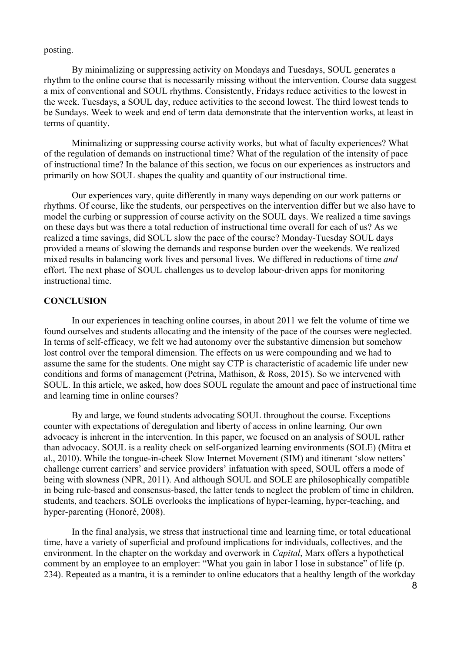posting.

By minimalizing or suppressing activity on Mondays and Tuesdays, SOUL generates a rhythm to the online course that is necessarily missing without the intervention. Course data suggest a mix of conventional and SOUL rhythms. Consistently, Fridays reduce activities to the lowest in the week. Tuesdays, a SOUL day, reduce activities to the second lowest. The third lowest tends to be Sundays. Week to week and end of term data demonstrate that the intervention works, at least in terms of quantity.

Minimalizing or suppressing course activity works, but what of faculty experiences? What of the regulation of demands on instructional time? What of the regulation of the intensity of pace of instructional time? In the balance of this section, we focus on our experiences as instructors and primarily on how SOUL shapes the quality and quantity of our instructional time.

Our experiences vary, quite differently in many ways depending on our work patterns or rhythms. Of course, like the students, our perspectives on the intervention differ but we also have to model the curbing or suppression of course activity on the SOUL days. We realized a time savings on these days but was there a total reduction of instructional time overall for each of us? As we realized a time savings, did SOUL slow the pace of the course? Monday-Tuesday SOUL days provided a means of slowing the demands and response burden over the weekends. We realized mixed results in balancing work lives and personal lives. We differed in reductions of time *and* effort. The next phase of SOUL challenges us to develop labour-driven apps for monitoring instructional time.

# **CONCLUSION**

In our experiences in teaching online courses, in about 2011 we felt the volume of time we found ourselves and students allocating and the intensity of the pace of the courses were neglected. In terms of self-efficacy, we felt we had autonomy over the substantive dimension but somehow lost control over the temporal dimension. The effects on us were compounding and we had to assume the same for the students. One might say CTP is characteristic of academic life under new conditions and forms of management (Petrina, Mathison, & Ross, 2015). So we intervened with SOUL. In this article, we asked, how does SOUL regulate the amount and pace of instructional time and learning time in online courses?

By and large, we found students advocating SOUL throughout the course. Exceptions counter with expectations of deregulation and liberty of access in online learning. Our own advocacy is inherent in the intervention. In this paper, we focused on an analysis of SOUL rather than advocacy. SOUL is a reality check on self-organized learning environments (SOLE) (Mitra et al., 2010). While the tongue-in-cheek Slow Internet Movement (SIM) and itinerant 'slow netters' challenge current carriers' and service providers' infatuation with speed, SOUL offers a mode of being with slowness (NPR, 2011). And although SOUL and SOLE are philosophically compatible in being rule-based and consensus-based, the latter tends to neglect the problem of time in children, students, and teachers. SOLE overlooks the implications of hyper-learning, hyper-teaching, and hyper-parenting (Honoré, 2008).

In the final analysis, we stress that instructional time and learning time, or total educational time, have a variety of superficial and profound implications for individuals, collectives, and the environment. In the chapter on the workday and overwork in *Capital*, Marx offers a hypothetical comment by an employee to an employer: "What you gain in labor I lose in substance" of life (p. 234). Repeated as a mantra, it is a reminder to online educators that a healthy length of the workday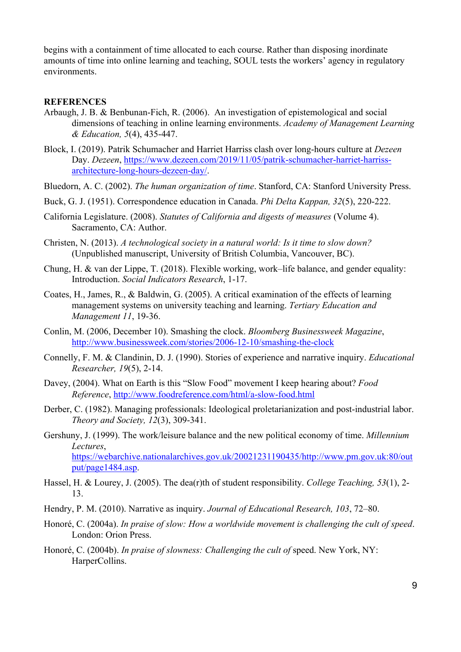begins with a containment of time allocated to each course. Rather than disposing inordinate amounts of time into online learning and teaching, SOUL tests the workers' agency in regulatory environments.

## **REFERENCES**

- Arbaugh, J. B. & Benbunan-Fich, R. (2006). An investigation of epistemological and social dimensions of teaching in online learning environments. *Academy of Management Learning & Education, 5*(4), 435-447.
- Block, I. (2019). Patrik Schumacher and Harriet Harriss clash over long-hours culture at *Dezeen* Day. *Dezeen*, https://www.dezeen.com/2019/11/05/patrik-schumacher-harriet-harrissarchitecture-long-hours-dezeen-day/.
- Bluedorn, A. C. (2002). *The human organization of time*. Stanford, CA: Stanford University Press.
- Buck, G. J. (1951). Correspondence education in Canada. *Phi Delta Kappan, 32*(5), 220-222.
- California Legislature. (2008). *Statutes of California and digests of measures* (Volume 4). Sacramento, CA: Author.
- Christen, N. (2013). *A technological society in a natural world: Is it time to slow down?* (Unpublished manuscript, University of British Columbia, Vancouver, BC).
- Chung, H. & van der Lippe, T. (2018). Flexible working, work–life balance, and gender equality: Introduction. *Social Indicators Research*, 1-17.
- Coates, H., James, R., & Baldwin, G. (2005). A critical examination of the effects of learning management systems on university teaching and learning. *Tertiary Education and Management 11*, 19-36.
- Conlin, M. (2006, December 10). Smashing the clock. *Bloomberg Businessweek Magazine*, http://www.businessweek.com/stories/2006-12-10/smashing-the-clock
- Connelly, F. M. & Clandinin, D. J. (1990). Stories of experience and narrative inquiry. *Educational Researcher, 19*(5), 2-14.
- Davey, (2004). What on Earth is this "Slow Food" movement I keep hearing about? *Food Reference*, http://www.foodreference.com/html/a-slow-food.html
- Derber, C. (1982). Managing professionals: Ideological proletarianization and post-industrial labor. *Theory and Society, 12*(3), 309-341.
- Gershuny, J. (1999). The work/leisure balance and the new political economy of time. *Millennium Lectures*, https://webarchive.nationalarchives.gov.uk/20021231190435/http://www.pm.gov.uk:80/out put/page1484.asp.
- Hassel, H. & Lourey, J. (2005). The dea(r)th of student responsibility. *College Teaching, 53*(1), 2- 13.
- Hendry, P. M. (2010). Narrative as inquiry. *Journal of Educational Research, 103*, 72–80.
- Honoré, C. (2004a). *In praise of slow: How a worldwide movement is challenging the cult of speed*. London: Orion Press.
- Honoré, C. (2004b). *In praise of slowness: Challenging the cult of* speed. New York, NY: HarperCollins.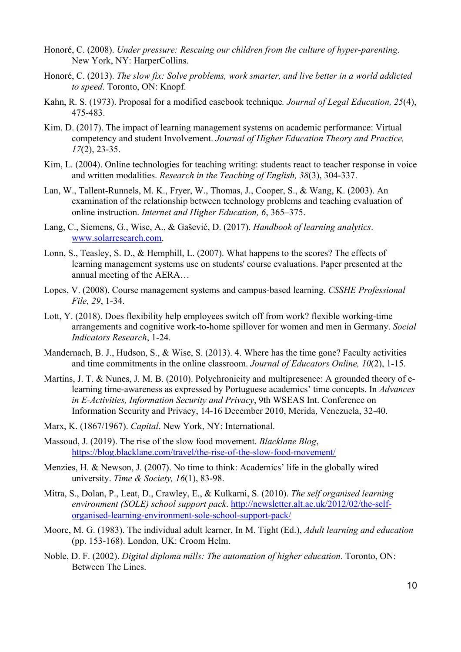- Honoré, C. (2008). *Under pressure: Rescuing our children from the culture of hyper-parenting*. New York, NY: HarperCollins.
- Honoré, C. (2013). *The slow fix: Solve problems, work smarter, and live better in a world addicted to speed*. Toronto, ON: Knopf.
- Kahn, R. S. (1973). Proposal for a modified casebook technique*. Journal of Legal Education, 25*(4), 475-483.
- Kim. D. (2017). The impact of learning management systems on academic performance: Virtual competency and student Involvement. *Journal of Higher Education Theory and Practice, 17*(2), 23-35.
- Kim, L. (2004). Online technologies for teaching writing: students react to teacher response in voice and written modalities. *Research in the Teaching of English, 38*(3), 304-337.
- Lan, W., Tallent-Runnels, M. K., Fryer, W., Thomas, J., Cooper, S., & Wang, K. (2003). An examination of the relationship between technology problems and teaching evaluation of online instruction. *Internet and Higher Education, 6*, 365–375.
- Lang, C., Siemens, G., Wise, A., & Gašević, D. (2017). *Handbook of learning analytics*. www.solarresearch.com.
- Lonn, S., Teasley, S. D., & Hemphill, L. (2007). What happens to the scores? The effects of learning management systems use on students' course evaluations. Paper presented at the annual meeting of the AERA…
- Lopes, V. (2008). Course management systems and campus-based learning. *CSSHE Professional File, 29*, 1-34.
- Lott, Y. (2018). Does flexibility help employees switch off from work? flexible working-time arrangements and cognitive work‑to‑home spillover for women and men in Germany. *Social Indicators Research*, 1-24.
- Mandernach, B. J., Hudson, S., & Wise, S. (2013). 4. Where has the time gone? Faculty activities and time commitments in the online classroom. *Journal of Educators Online, 10*(2), 1-15.
- Martins, J. T. & Nunes, J. M. B. (2010). Polychronicity and multipresence: A grounded theory of elearning time-awareness as expressed by Portuguese academics' time concepts. In *Advances in E-Activities, Information Security and Privacy*, 9th WSEAS Int. Conference on Information Security and Privacy, 14-16 December 2010, Merida, Venezuela, 32-40.
- Marx, K. (1867/1967). *Capital*. New York, NY: International.
- Massoud, J. (2019). The rise of the slow food movement. *Blacklane Blog*, https://blog.blacklane.com/travel/the-rise-of-the-slow-food-movement/
- Menzies, H. & Newson, J. (2007). No time to think: Academics' life in the globally wired university. *Time & Society, 16*(1), 83-98.
- Mitra, S., Dolan, P., Leat, D., Crawley, E., & Kulkarni, S. (2010). *The self organised learning environment (SOLE) school support pack*. http://newsletter.alt.ac.uk/2012/02/the-selforganised-learning-environment-sole-school-support-pack/
- Moore, M. G. (1983). The individual adult learner, In M. Tight (Ed.), *Adult learning and education* (pp. 153-168). London, UK: Croom Helm.
- Noble, D. F. (2002). *Digital diploma mills: The automation of higher education*. Toronto, ON: Between The Lines.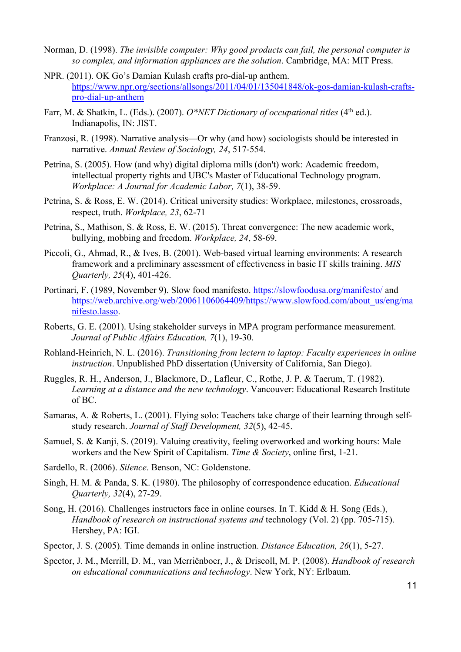- Norman, D. (1998). *The invisible computer: Why good products can fail, the personal computer is so complex, and information appliances are the solution*. Cambridge, MA: MIT Press.
- NPR. (2011). OK Go's Damian Kulash crafts pro-dial-up anthem. https://www.npr.org/sections/allsongs/2011/04/01/135041848/ok-gos-damian-kulash-craftspro-dial-up-anthem
- Farr, M. & Shatkin, L. (Eds.). (2007). *O\*NET Dictionary of occupational titles* (4<sup>th</sup> ed.). Indianapolis, IN: JIST.
- Franzosi, R. (1998). Narrative analysis—Or why (and how) sociologists should be interested in narrative. *Annual Review of Sociology, 24*, 517-554.
- Petrina, S. (2005). How (and why) digital diploma mills (don't) work: Academic freedom, intellectual property rights and UBC's Master of Educational Technology program. *Workplace: A Journal for Academic Labor, 7*(1), 38-59.
- Petrina, S. & Ross, E. W. (2014). Critical university studies: Workplace, milestones, crossroads, respect, truth. *Workplace, 23*, 62-71
- Petrina, S., Mathison, S. & Ross, E. W. (2015). Threat convergence: The new academic work, bullying, mobbing and freedom. *Workplace, 24*, 58-69.
- Piccoli, G., Ahmad, R., & Ives, B. (2001). Web-based virtual learning environments: A research framework and a preliminary assessment of effectiveness in basic IT skills training. *MIS Quarterly, 25*(4), 401-426.
- Portinari, F. (1989, November 9). Slow food manifesto. https://slowfoodusa.org/manifesto/ and https://web.archive.org/web/20061106064409/https://www.slowfood.com/about\_us/eng/ma nifesto.lasso.
- Roberts, G. E. (2001). Using stakeholder surveys in MPA program performance measurement. *Journal of Public Affairs Education, 7*(1), 19-30.
- Rohland-Heinrich, N. L. (2016). *Transitioning from lectern to laptop: Faculty experiences in online instruction*. Unpublished PhD dissertation (University of California, San Diego).
- Ruggles, R. H., Anderson, J., Blackmore, D., Lafleur, C., Rothe, J. P. & Taerum, T. (1982). *Learning at a distance and the new technology*. Vancouver: Educational Research Institute of BC.
- Samaras, A. & Roberts, L. (2001). Flying solo: Teachers take charge of their learning through selfstudy research. *Journal of Staff Development, 32*(5), 42-45.
- Samuel, S. & Kanji, S. (2019). Valuing creativity, feeling overworked and working hours: Male workers and the New Spirit of Capitalism. *Time & Society*, online first, 1-21.
- Sardello, R. (2006). *Silence*. Benson, NC: Goldenstone.
- Singh, H. M. & Panda, S. K. (1980). The philosophy of correspondence education. *Educational Quarterly, 32*(4), 27-29.
- Song, H. (2016). Challenges instructors face in online courses. In T. Kidd & H. Song (Eds.), *Handbook of research on instructional systems and* technology (Vol. 2) (pp. 705-715). Hershey, PA: IGI.
- Spector, J. S. (2005). Time demands in online instruction. *Distance Education, 26*(1), 5-27.
- Spector, J. M., Merrill, D. M., van Merriënboer, J., & Driscoll, M. P. (2008). *Handbook of research on educational communications and technology*. New York, NY: Erlbaum.